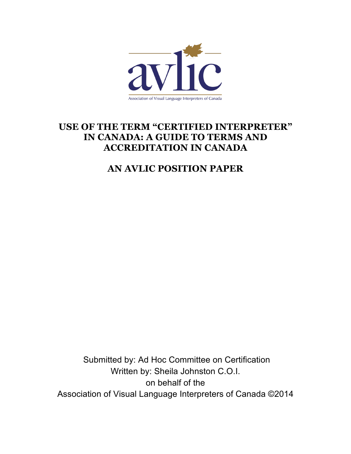

# **USE OF THE TERM "CERTIFIED INTERPRETER" IN CANADA: A GUIDE TO TERMS AND ACCREDITATION IN CANADA**

# **AN AVLIC POSITION PAPER**

Submitted by: Ad Hoc Committee on Certification Written by: Sheila Johnston C.O.I. on behalf of the Association of Visual Language Interpreters of Canada ©2014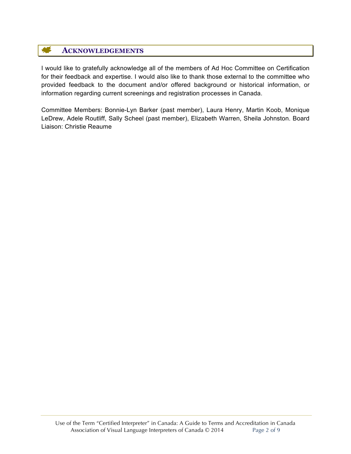### 华 **ACKNOWLEDGEMENTS**

I would like to gratefully acknowledge all of the members of Ad Hoc Committee on Certification for their feedback and expertise. I would also like to thank those external to the committee who provided feedback to the document and/or offered background or historical information, or information regarding current screenings and registration processes in Canada.

Committee Members: Bonnie-Lyn Barker (past member), Laura Henry, Martin Koob, Monique LeDrew, Adele Routliff, Sally Scheel (past member), Elizabeth Warren, Sheila Johnston. Board Liaison: Christie Reaume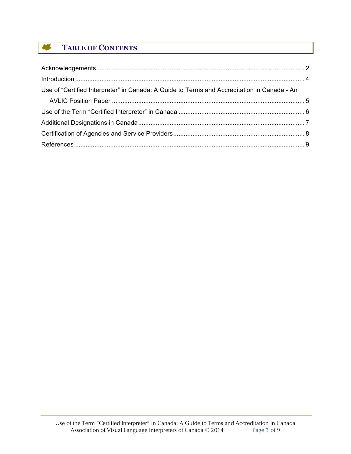### 集 **TABLE OF CONTENTS**

| Use of "Certified Interpreter" in Canada: A Guide to Terms and Accreditation in Canada - An |  |
|---------------------------------------------------------------------------------------------|--|
|                                                                                             |  |
|                                                                                             |  |
|                                                                                             |  |
|                                                                                             |  |
|                                                                                             |  |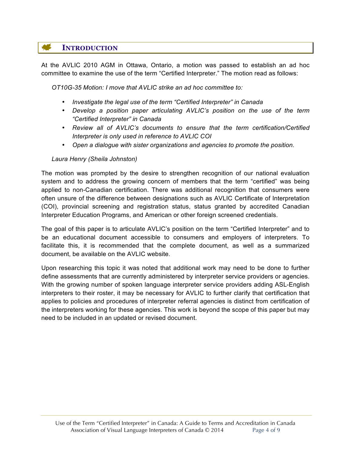## **INTRODUCTION**

At the AVLIC 2010 AGM in Ottawa, Ontario, a motion was passed to establish an ad hoc committee to examine the use of the term "Certified Interpreter." The motion read as follows:

*OT10G-35 Motion: I move that AVLIC strike an ad hoc committee to:*

- *Investigate the legal use of the term "Certified Interpreter" in Canada*
- *Develop a position paper articulating AVLIC's position on the use of the term "Certified Interpreter" in Canada*
- *Review all of AVLIC's documents to ensure that the term certification/Certified Interpreter is only used in reference to AVLIC COI*
- *Open a dialogue with sister organizations and agencies to promote the position.*

### *Laura Henry (Sheila Johnston)*

The motion was prompted by the desire to strengthen recognition of our national evaluation system and to address the growing concern of members that the term "certified" was being applied to non-Canadian certification. There was additional recognition that consumers were often unsure of the difference between designations such as AVLIC Certificate of Interpretation (COI), provincial screening and registration status, status granted by accredited Canadian Interpreter Education Programs, and American or other foreign screened credentials.

The goal of this paper is to articulate AVLIC's position on the term "Certified Interpreter" and to be an educational document accessible to consumers and employers of interpreters. To facilitate this, it is recommended that the complete document, as well as a summarized document, be available on the AVLIC website.

Upon researching this topic it was noted that additional work may need to be done to further define assessments that are currently administered by interpreter service providers or agencies. With the growing number of spoken language interpreter service providers adding ASL-English interpreters to their roster, it may be necessary for AVLIC to further clarify that certification that applies to policies and procedures of interpreter referral agencies is distinct from certification of the interpreters working for these agencies. This work is beyond the scope of this paper but may need to be included in an updated or revised document.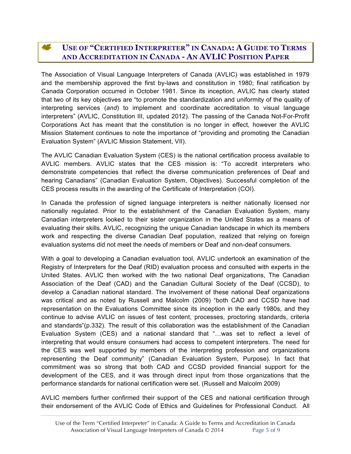### **ALC USE OF "CERTIFIED INTERPRETER" IN CANADA: A GUIDE TO TERMS AND ACCREDITATION IN CANADA - AN AVLIC POSITION PAPER**

The Association of Visual Language Interpreters of Canada (AVLIC) was established in 1979 and the membership approved the first by-laws and constitution in 1980; final ratification by Canada Corporation occurred in October 1981. Since its inception, AVLIC has clearly stated that two of its key objectives are "to promote the standardization and uniformity of the quality of interpreting services (*and*) to implement and coordinate accreditation to visual language interpreters" (AVLIC, Constitution III, updated 2012). The passing of the Canada Not-For-Profit Corporations Act has meant that the constitution is no longer in effect, however the AVLIC Mission Statement continues to note the importance of "providing and promoting the Canadian Evaluation System" (AVLIC Mission Statement, VII).

The AVLIC Canadian Evaluation System (CES) is the national certification process available to AVLIC members. AVLIC states that the CES mission is: "To accredit interpreters who demonstrate competencies that reflect the diverse communication preferences of Deaf and hearing Canadians" (Canadian Evaluation System, Objectives). Successful completion of the CES process results in the awarding of the Certificate of Interpretation (COI).

In Canada the profession of signed language interpreters is neither nationally licensed nor nationally regulated. Prior to the establishment of the Canadian Evaluation System, many Canadian interpreters looked to their sister organization in the United States as a means of evaluating their skills. AVLIC, recognizing the unique Canadian landscape in which its members work and respecting the diverse Canadian Deaf population, realized that relying on foreign evaluation systems did not meet the needs of members or Deaf and non-deaf consumers.

With a goal to developing a Canadian evaluation tool, AVLIC undertook an examination of the Registry of Interpreters for the Deaf (RID) evaluation process and consulted with experts in the United States. AVLIC then worked with the two national Deaf organizations, The Canadian Association of the Deaf (CAD) and the Canadian Cultural Society of the Deaf (CCSD), to develop a Canadian national standard. The involvement of these national Deaf organizations was critical and as noted by Russell and Malcolm (2009) "both CAD and CCSD have had representation on the Evaluations Committee since its inception in the early 1980s, and they continue to advise AVLIC on issues of test content, processes, proctoring standards, criteria and standards"(p.332). The result of this collaboration was the establishment of the Canadian Evaluation System (CES) and a national standard that "…was set to reflect a level of interpreting that would ensure consumers had access to competent interpreters. The need for the CES was well supported by members of the interpreting profession and organizations representing the Deaf community" (Canadian Evaluation System, Purpose). In fact that commitment was so strong that both CAD and CCSD provided financial support for the development of the CES, and it was through direct input from those organizations that the performance standards for national certification were set. (Russell and Malcolm 2009)

AVLIC members further confirmed their support of the CES and national certification through their endorsement of the AVLIC Code of Ethics and Guidelines for Professional Conduct. All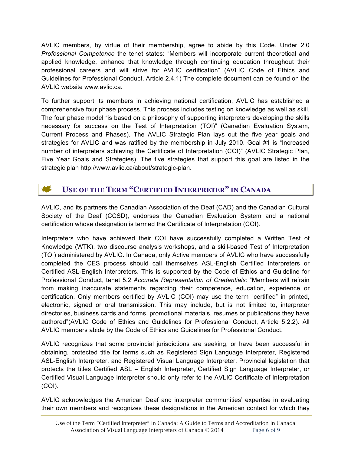AVLIC members, by virtue of their membership, agree to abide by this Code. Under 2.0 *Professional Competence* the tenet states: "Members will incorporate current theoretical and applied knowledge, enhance that knowledge through continuing education throughout their professional careers and will strive for AVLIC certification" (AVLIC Code of Ethics and Guidelines for Professional Conduct, Article 2.4.1) The complete document can be found on the AVLIC website www.avlic.ca.

To further support its members in achieving national certification, AVLIC has established a comprehensive four phase process. This process includes testing on knowledge as well as skill. The four phase model "is based on a philosophy of supporting interpreters developing the skills necessary for success on the Test of Interpretation (TOI)" (Canadian Evaluation System, Current Process and Phases). The AVLIC Strategic Plan lays out the five year goals and strategies for AVLIC and was ratified by the membership in July 2010. Goal #1 is "Increased number of interpreters achieving the Certificate of Interpretation (COI)" (AVLIC Strategic Plan, Five Year Goals and Strategies). The five strategies that support this goal are listed in the strategic plan http://www.avlic.ca/about/strategic-plan.

## **USE OF THE TERM "CERTIFIED INTERPRETER" IN CANADA**

AVLIC, and its partners the Canadian Association of the Deaf (CAD) and the Canadian Cultural Society of the Deaf (CCSD), endorses the Canadian Evaluation System and a national certification whose designation is termed the Certificate of Interpretation (COI).

Interpreters who have achieved their COI have successfully completed a Written Test of Knowledge (WTK), two discourse analysis workshops, and a skill-based Test of Interpretation (TOI) administered by AVLIC. In Canada, only Active members of AVLIC who have successfully completed the CES process should call themselves ASL-English Certified Interpreters or Certified ASL-English Interpreters. This is supported by the Code of Ethics and Guideline for Professional Conduct, tenet 5.2 *Accurate Representation of Credentials:* "Members will refrain from making inaccurate statements regarding their competence, education, experience or certification. Only members certified by AVLIC (COI) may use the term "certified" in printed, electronic, signed or oral transmission. This may include, but is not limited to, interpreter directories, business cards and forms, promotional materials, resumes or publications they have authored"(AVLIC Code of Ethics and Guidelines for Professional Conduct, Article 5.2.2). All AVLIC members abide by the Code of Ethics and Guidelines for Professional Conduct.

AVLIC recognizes that some provincial jurisdictions are seeking, or have been successful in obtaining, protected title for terms such as Registered Sign Language Interpreter, Registered ASL-English Interpreter, and Registered Visual Language Interpreter. Provincial legislation that protects the titles Certified ASL – English Interpreter, Certified Sign Language Interpreter, or Certified Visual Language Interpreter should only refer to the AVLIC Certificate of Interpretation (COI).

AVLIC acknowledges the American Deaf and interpreter communities' expertise in evaluating their own members and recognizes these designations in the American context for which they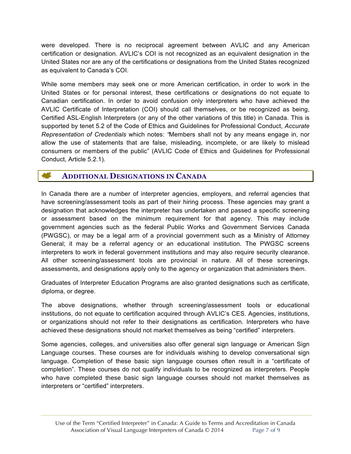were developed. There is no reciprocal agreement between AVLIC and any American certification or designation. AVLIC's COI is not recognized as an equivalent designation in the United States nor are any of the certifications or designations from the United States recognized as equivalent to Canada's COI.

While some members may seek one or more American certification, in order to work in the United States or for personal interest, these certifications or designations do not equate to Canadian certification. In order to avoid confusion only interpreters who have achieved the AVLIC Certificate of Interpretation (COI) should call themselves, or be recognized as being, Certified ASL-English Interpreters (or any of the other variations of this title) in Canada. This is supported by tenet 5.2 of the Code of Ethics and Guidelines for Professional Conduct, *Accurate Representation of Credentials* which notes: *"*Members shall not by any means engage in, nor allow the use of statements that are false, misleading, incomplete, or are likely to mislead consumers or members of the public" (AVLIC Code of Ethics and Guidelines for Professional Conduct, Article 5.2.1).

#### <u>er f</u> **ADDITIONAL DESIGNATIONS IN CANADA**

In Canada there are a number of interpreter agencies, employers, and referral agencies that have screening/assessment tools as part of their hiring process. These agencies may grant a designation that acknowledges the interpreter has undertaken and passed a specific screening or assessment based on the minimum requirement for that agency. This may include government agencies such as the federal Public Works and Government Services Canada (PWGSC), or may be a legal arm of a provincial government such as a Ministry of Attorney General; it may be a referral agency or an educational institution. The PWGSC screens interpreters to work in federal government institutions and may also require security clearance. All other screening/assessment tools are provincial in nature. All of these screenings, assessments, and designations apply only to the agency or organization that administers them.

Graduates of Interpreter Education Programs are also granted designations such as certificate, diploma, or degree.

The above designations, whether through screening/assessment tools or educational institutions, do not equate to certification acquired through AVLIC's CES. Agencies, institutions, or organizations should not refer to their designations as certification. Interpreters who have achieved these designations should not market themselves as being "certified" interpreters.

Some agencies, colleges, and universities also offer general sign language or American Sign Language courses. These courses are for individuals wishing to develop conversational sign language. Completion of these basic sign language courses often result in a "certificate of completion". These courses do not qualify individuals to be recognized as interpreters. People who have completed these basic sign language courses should not market themselves as interpreters or "certified" interpreters.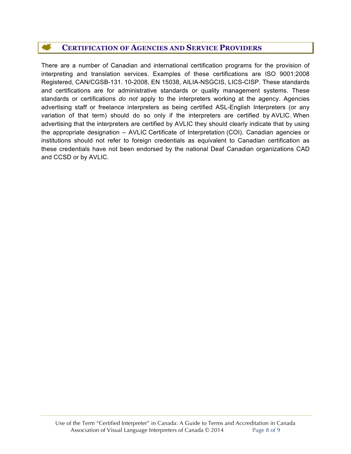### 46 **CERTIFICATION OF AGENCIES AND SERVICE PROVIDERS**

There are a number of Canadian and international certification programs for the provision of interpreting and translation services. Examples of these certifications are ISO 9001:2008 Registered, CAN/CGSB-131. 10-2008, EN 15038, AILIA-NSGCIS, LICS-CISP. These standards and certifications are for administrative standards or quality management systems. These standards or certifications *do not* apply to the interpreters working at the agency. Agencies advertising staff or freelance interpreters as being certified ASL-English Interpreters (or any variation of that term) should do so only if the interpreters are certified by AVLIC. When advertising that the interpreters are certified by AVLIC they should clearly indicate that by using the appropriate designation – AVLIC Certificate of Interpretation (COI). Canadian agencies or institutions should not refer to foreign credentials as equivalent to Canadian certification as these credentials have not been endorsed by the national Deaf Canadian organizations CAD and CCSD or by AVLIC.